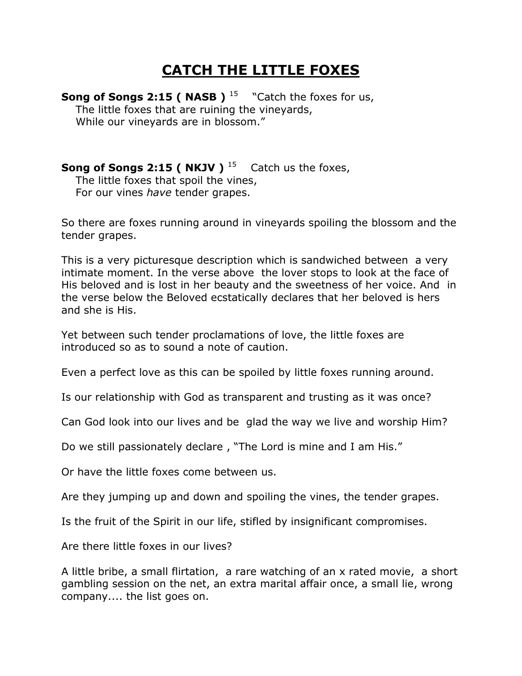## **CATCH THE LITTLE FOXES**

**Song of Songs 2:15 ( NASB )**  $^{15}$  "Catch the foxes for us, The little foxes that are ruining the vineyards, While our vineyards are in blossom."

**Song of Songs 2:15 ( NKJV )**  $^{15}$  Catch us the foxes, The little foxes that spoil the vines, For our vines *have* tender grapes.

So there are foxes running around in vineyards spoiling the blossom and the tender grapes.

This is a very picturesque description which is sandwiched between a very intimate moment. In the verse above the lover stops to look at the face of His beloved and is lost in her beauty and the sweetness of her voice. And in the verse below the Beloved ecstatically declares that her beloved is hers and she is His.

Yet between such tender proclamations of love, the little foxes are introduced so as to sound a note of caution.

Even a perfect love as this can be spoiled by little foxes running around.

Is our relationship with God as transparent and trusting as it was once?

Can God look into our lives and be glad the way we live and worship Him?

Do we still passionately declare, "The Lord is mine and I am His."

Or have the little foxes come between us.

Are they jumping up and down and spoiling the vines, the tender grapes.

Is the fruit of the Spirit in our life, stifled by insignificant compromises.

Are there little foxes in our lives?

A little bribe, a small flirtation, a rare watching of an x rated movie, a short gambling session on the net, an extra marital affair once, a small lie, wrong company.... the list goes on.